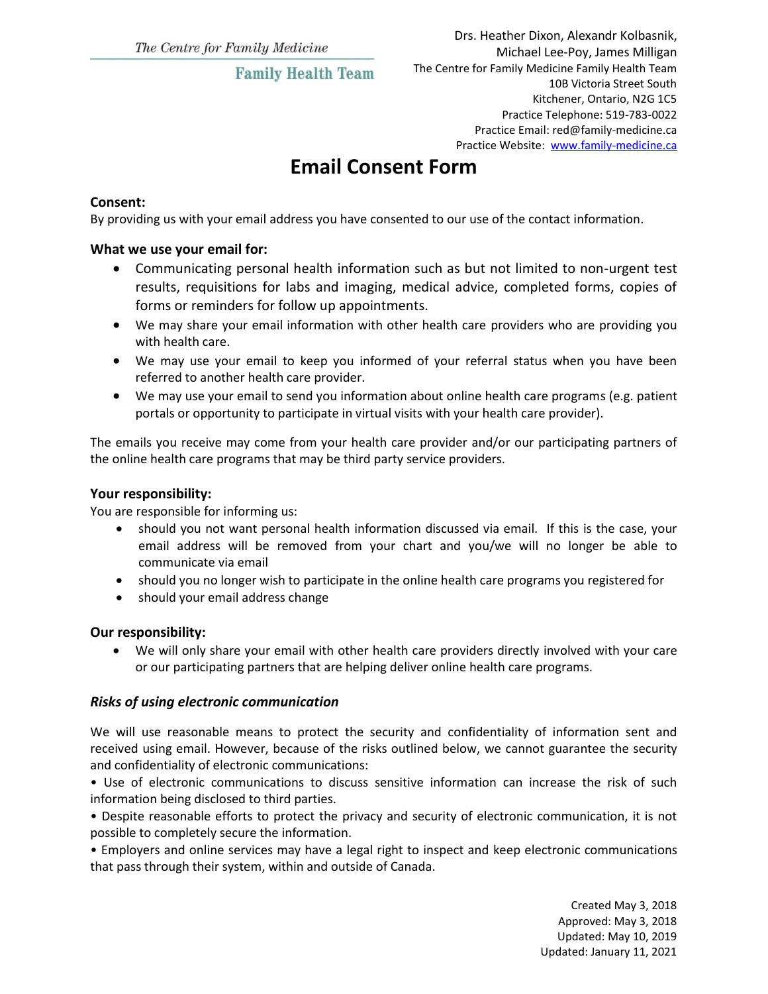## **Family Health Team**

# **Email Consent Form**

### **Consent:**

By providing us with your email address you have consented to our use of the contact information.

#### **What we use your email for:**

- Communicating personal health information such as but not limited to non-urgent test results, requisitions for labs and imaging, medical advice, completed forms, copies of forms or reminders for follow up appointments.
- We may share your email information with other health care providers who are providing you with health care.
- We may use your email to keep you informed of your referral status when you have been referred to another health care provider.
- We may use your email to send you information about online health care programs (e.g. patient portals or opportunity to participate in virtual visits with your health care provider).

The emails you receive may come from your health care provider and/or our participating partners of the online health care programs that may be third party service providers.

### **Your responsibility:**

You are responsible for informing us:

- should you not want personal health information discussed via email. If this is the case, your email address will be removed from your chart and you/we will no longer be able to communicate via email
- should you no longer wish to participate in the online health care programs you registered for
- should your email address change

#### **Our responsibility:**

 We will only share your email with other health care providers directly involved with your care or our participating partners that are helping deliver online health care programs.

### *Risks of using electronic communication*

We will use reasonable means to protect the security and confidentiality of information sent and received using email. However, because of the risks outlined below, we cannot guarantee the security and confidentiality of electronic communications:

• Use of electronic communications to discuss sensitive information can increase the risk of such information being disclosed to third parties.

• Despite reasonable efforts to protect the privacy and security of electronic communication, it is not possible to completely secure the information.

• Employers and online services may have a legal right to inspect and keep electronic communications that pass through their system, within and outside of Canada.

> Created May 3, 2018 Approved: May 3, 2018 Updated: May 10, 2019 Updated: January 11, 2021